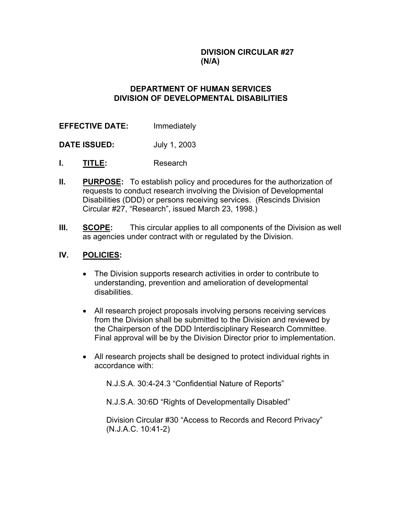**DIVISION CIRCULAR #27 (N/A)**

### **DEPARTMENT OF HUMAN SERVICES DIVISION OF DEVELOPMENTAL DISABILITIES**

**EFFECTIVE DATE:** Immediately

**DATE ISSUED:** July 1, 2003

- **I. TITLE:** Research
- **II. PURPOSE:** To establish policy and procedures for the authorization of requests to conduct research involving the Division of Developmental Disabilities (DDD) or persons receiving services. (Rescinds Division Circular #27, "Research", issued March 23, 1998.)
- **III. SCOPE:** This circular applies to all components of the Division as well as agencies under contract with or regulated by the Division.

### **IV. POLICIES:**

- The Division supports research activities in order to contribute to understanding, prevention and amelioration of developmental disabilities.
- All research project proposals involving persons receiving services from the Division shall be submitted to the Division and reviewed by the Chairperson of the DDD Interdisciplinary Research Committee. Final approval will be by the Division Director prior to implementation.
- All research projects shall be designed to protect individual rights in accordance with:

N.J.S.A. 30:4-24.3 "Confidential Nature of Reports"

N.J.S.A. 30:6D "Rights of Developmentally Disabled"

Division Circular #30 "Access to Records and Record Privacy" (N.J.A.C. 10:41-2)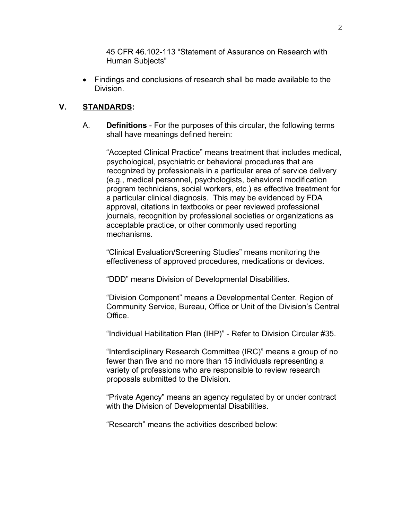45 CFR 46.102-113 "Statement of Assurance on Research with Human Subjects"

• Findings and conclusions of research shall be made available to the Division.

## **V. STANDARDS:**

A. **Definitions** - For the purposes of this circular, the following terms shall have meanings defined herein:

"Accepted Clinical Practice" means treatment that includes medical, psychological, psychiatric or behavioral procedures that are recognized by professionals in a particular area of service delivery (e.g., medical personnel, psychologists, behavioral modification program technicians, social workers, etc.) as effective treatment for a particular clinical diagnosis. This may be evidenced by FDA approval, citations in textbooks or peer reviewed professional journals, recognition by professional societies or organizations as acceptable practice, or other commonly used reporting mechanisms.

"Clinical Evaluation/Screening Studies" means monitoring the effectiveness of approved procedures, medications or devices.

"DDD" means Division of Developmental Disabilities.

"Division Component" means a Developmental Center, Region of Community Service, Bureau, Office or Unit of the Division's Central **Office** 

"Individual Habilitation Plan (IHP)" - Refer to Division Circular #35.

"Interdisciplinary Research Committee (IRC)" means a group of no fewer than five and no more than 15 individuals representing a variety of professions who are responsible to review research proposals submitted to the Division.

"Private Agency" means an agency regulated by or under contract with the Division of Developmental Disabilities.

"Research" means the activities described below: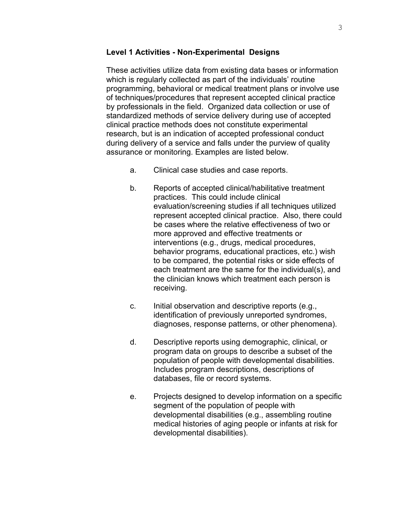#### **Level 1 Activities - Non-Experimental Designs**

These activities utilize data from existing data bases or information which is regularly collected as part of the individuals' routine programming, behavioral or medical treatment plans or involve use of techniques/procedures that represent accepted clinical practice by professionals in the field. Organized data collection or use of standardized methods of service delivery during use of accepted clinical practice methods does not constitute experimental research, but is an indication of accepted professional conduct during delivery of a service and falls under the purview of quality assurance or monitoring. Examples are listed below.

- a. Clinical case studies and case reports.
- b. Reports of accepted clinical/habilitative treatment practices. This could include clinical evaluation/screening studies if all techniques utilized represent accepted clinical practice. Also, there could be cases where the relative effectiveness of two or more approved and effective treatments or interventions (e.g., drugs, medical procedures, behavior programs, educational practices, etc.) wish to be compared, the potential risks or side effects of each treatment are the same for the individual(s), and the clinician knows which treatment each person is receiving.
- c. Initial observation and descriptive reports (e.g., identification of previously unreported syndromes, diagnoses, response patterns, or other phenomena).
- d. Descriptive reports using demographic, clinical, or program data on groups to describe a subset of the population of people with developmental disabilities. Includes program descriptions, descriptions of databases, file or record systems.
- e. Projects designed to develop information on a specific segment of the population of people with developmental disabilities (e.g., assembling routine medical histories of aging people or infants at risk for developmental disabilities).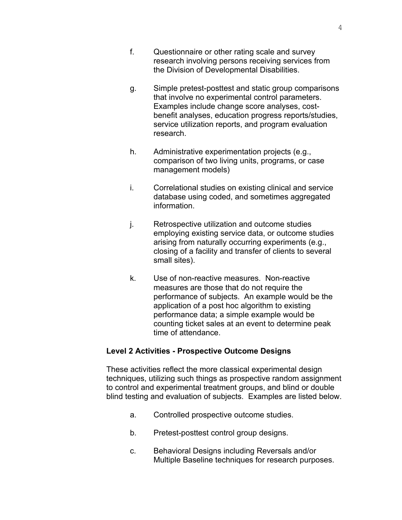- f. Questionnaire or other rating scale and survey research involving persons receiving services from the Division of Developmental Disabilities.
- g. Simple pretest-posttest and static group comparisons that involve no experimental control parameters. Examples include change score analyses, costbenefit analyses, education progress reports/studies, service utilization reports, and program evaluation research.
- h. Administrative experimentation projects (e.g., comparison of two living units, programs, or case management models)
- i. Correlational studies on existing clinical and service database using coded, and sometimes aggregated information.
- j. Retrospective utilization and outcome studies employing existing service data, or outcome studies arising from naturally occurring experiments (e.g., closing of a facility and transfer of clients to several small sites).
- k. Use of non-reactive measures. Non-reactive measures are those that do not require the performance of subjects. An example would be the application of a post hoc algorithm to existing performance data; a simple example would be counting ticket sales at an event to determine peak time of attendance.

#### **Level 2 Activities - Prospective Outcome Designs**

These activities reflect the more classical experimental design techniques, utilizing such things as prospective random assignment to control and experimental treatment groups, and blind or double blind testing and evaluation of subjects. Examples are listed below.

- a. Controlled prospective outcome studies.
- b. Pretest-posttest control group designs.
- c. Behavioral Designs including Reversals and/or Multiple Baseline techniques for research purposes.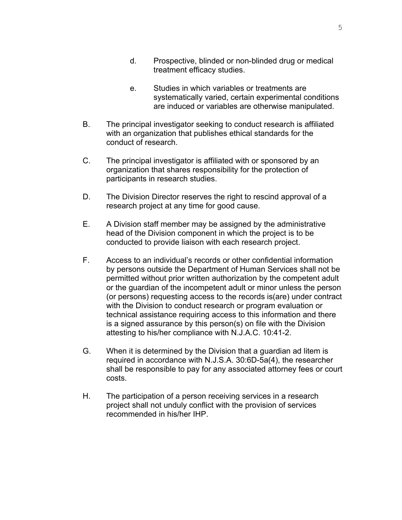- d. Prospective, blinded or non-blinded drug or medical treatment efficacy studies.
- e. Studies in which variables or treatments are systematically varied, certain experimental conditions are induced or variables are otherwise manipulated.
- B. The principal investigator seeking to conduct research is affiliated with an organization that publishes ethical standards for the conduct of research.
- C. The principal investigator is affiliated with or sponsored by an organization that shares responsibility for the protection of participants in research studies.
- D. The Division Director reserves the right to rescind approval of a research project at any time for good cause.
- E. A Division staff member may be assigned by the administrative head of the Division component in which the project is to be conducted to provide liaison with each research project.
- F. Access to an individual's records or other confidential information by persons outside the Department of Human Services shall not be permitted without prior written authorization by the competent adult or the guardian of the incompetent adult or minor unless the person (or persons) requesting access to the records is(are) under contract with the Division to conduct research or program evaluation or technical assistance requiring access to this information and there is a signed assurance by this person(s) on file with the Division attesting to his/her compliance with N.J.A.C. 10:41-2.
- G. When it is determined by the Division that a guardian ad litem is required in accordance with N.J.S.A. 30:6D-5a(4), the researcher shall be responsible to pay for any associated attorney fees or court costs.
- H. The participation of a person receiving services in a research project shall not unduly conflict with the provision of services recommended in his/her IHP.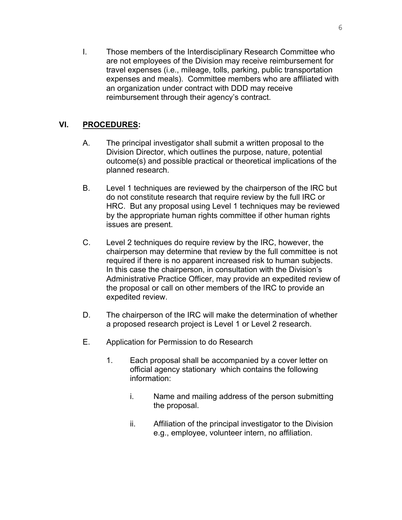I. Those members of the Interdisciplinary Research Committee who are not employees of the Division may receive reimbursement for travel expenses (i.e., mileage, tolls, parking, public transportation expenses and meals). Committee members who are affiliated with an organization under contract with DDD may receive reimbursement through their agency's contract.

# **VI. PROCEDURES:**

- A. The principal investigator shall submit a written proposal to the Division Director, which outlines the purpose, nature, potential outcome(s) and possible practical or theoretical implications of the planned research.
- B. Level 1 techniques are reviewed by the chairperson of the IRC but do not constitute research that require review by the full IRC or HRC. But any proposal using Level 1 techniques may be reviewed by the appropriate human rights committee if other human rights issues are present.
- C. Level 2 techniques do require review by the IRC, however, the chairperson may determine that review by the full committee is not required if there is no apparent increased risk to human subjects. In this case the chairperson, in consultation with the Division's Administrative Practice Officer, may provide an expedited review of the proposal or call on other members of the IRC to provide an expedited review.
- D. The chairperson of the IRC will make the determination of whether a proposed research project is Level 1 or Level 2 research.
- E. Application for Permission to do Research
	- 1. Each proposal shall be accompanied by a cover letter on official agency stationary which contains the following information:
		- i. Name and mailing address of the person submitting the proposal.
		- ii. Affiliation of the principal investigator to the Division e.g., employee, volunteer intern, no affiliation.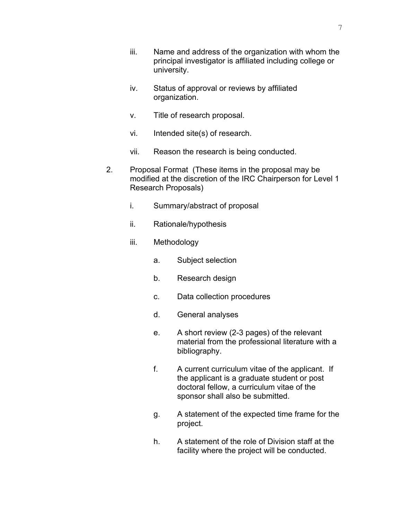- iii. Name and address of the organization with whom the principal investigator is affiliated including college or university.
- iv. Status of approval or reviews by affiliated organization.
- v. Title of research proposal.
- vi. Intended site(s) of research.
- vii. Reason the research is being conducted.
- 2. Proposal Format (These items in the proposal may be modified at the discretion of the IRC Chairperson for Level 1 Research Proposals)
	- i. Summary/abstract of proposal
	- ii. Rationale/hypothesis
	- iii. Methodology
		- a. Subject selection
		- b. Research design
		- c. Data collection procedures
		- d. General analyses
		- e. A short review (2-3 pages) of the relevant material from the professional literature with a bibliography.
		- f. A current curriculum vitae of the applicant. If the applicant is a graduate student or post doctoral fellow, a curriculum vitae of the sponsor shall also be submitted.
		- g. A statement of the expected time frame for the project.
		- h. A statement of the role of Division staff at the facility where the project will be conducted.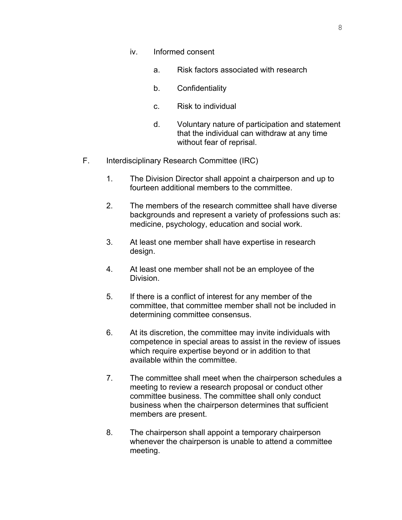- iv. Informed consent
	- a. Risk factors associated with research
	- b. Confidentiality
	- c. Risk to individual
	- d. Voluntary nature of participation and statement that the individual can withdraw at any time without fear of reprisal.
- F. Interdisciplinary Research Committee (IRC)
	- 1. The Division Director shall appoint a chairperson and up to fourteen additional members to the committee.
	- 2. The members of the research committee shall have diverse backgrounds and represent a variety of professions such as: medicine, psychology, education and social work.
	- 3. At least one member shall have expertise in research design.
	- 4. At least one member shall not be an employee of the Division.
	- 5. If there is a conflict of interest for any member of the committee, that committee member shall not be included in determining committee consensus.
	- 6. At its discretion, the committee may invite individuals with competence in special areas to assist in the review of issues which require expertise beyond or in addition to that available within the committee.
	- 7. The committee shall meet when the chairperson schedules a meeting to review a research proposal or conduct other committee business. The committee shall only conduct business when the chairperson determines that sufficient members are present.
	- 8. The chairperson shall appoint a temporary chairperson whenever the chairperson is unable to attend a committee meeting.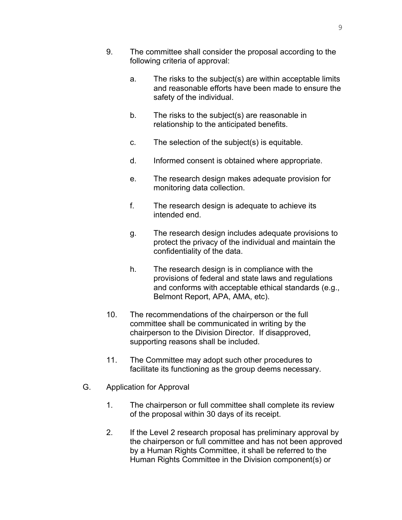- 9. The committee shall consider the proposal according to the following criteria of approval:
	- a. The risks to the subject(s) are within acceptable limits and reasonable efforts have been made to ensure the safety of the individual.
	- b. The risks to the subject(s) are reasonable in relationship to the anticipated benefits.
	- c. The selection of the subject(s) is equitable.
	- d. Informed consent is obtained where appropriate.
	- e. The research design makes adequate provision for monitoring data collection.
	- f. The research design is adequate to achieve its intended end.
	- g. The research design includes adequate provisions to protect the privacy of the individual and maintain the confidentiality of the data.
	- h. The research design is in compliance with the provisions of federal and state laws and regulations and conforms with acceptable ethical standards (e.g., Belmont Report, APA, AMA, etc).
- 10. The recommendations of the chairperson or the full committee shall be communicated in writing by the chairperson to the Division Director. If disapproved, supporting reasons shall be included.
- 11. The Committee may adopt such other procedures to facilitate its functioning as the group deems necessary.
- G. Application for Approval
	- 1. The chairperson or full committee shall complete its review of the proposal within 30 days of its receipt.
	- 2. If the Level 2 research proposal has preliminary approval by the chairperson or full committee and has not been approved by a Human Rights Committee, it shall be referred to the Human Rights Committee in the Division component(s) or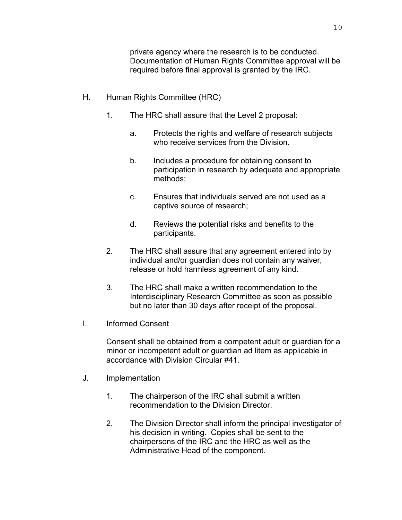private agency where the research is to be conducted. Documentation of Human Rights Committee approval will be required before final approval is granted by the IRC.

- H. Human Rights Committee (HRC)
	- 1. The HRC shall assure that the Level 2 proposal:
		- a. Protects the rights and welfare of research subjects who receive services from the Division.
		- b. Includes a procedure for obtaining consent to participation in research by adequate and appropriate methods;
		- c. Ensures that individuals served are not used as a captive source of research;
		- d. Reviews the potential risks and benefits to the participants.
	- 2. The HRC shall assure that any agreement entered into by individual and/or guardian does not contain any waiver, release or hold harmless agreement of any kind.
	- 3. The HRC shall make a written recommendation to the Interdisciplinary Research Committee as soon as possible but no later than 30 days after receipt of the proposal.
- I. Informed Consent

Consent shall be obtained from a competent adult or guardian for a minor or incompetent adult or guardian ad litem as applicable in accordance with Division Circular #41.

- J. Implementation
	- 1. The chairperson of the IRC shall submit a written recommendation to the Division Director.
	- 2. The Division Director shall inform the principal investigator of his decision in writing. Copies shall be sent to the chairpersons of the IRC and the HRC as well as the Administrative Head of the component.